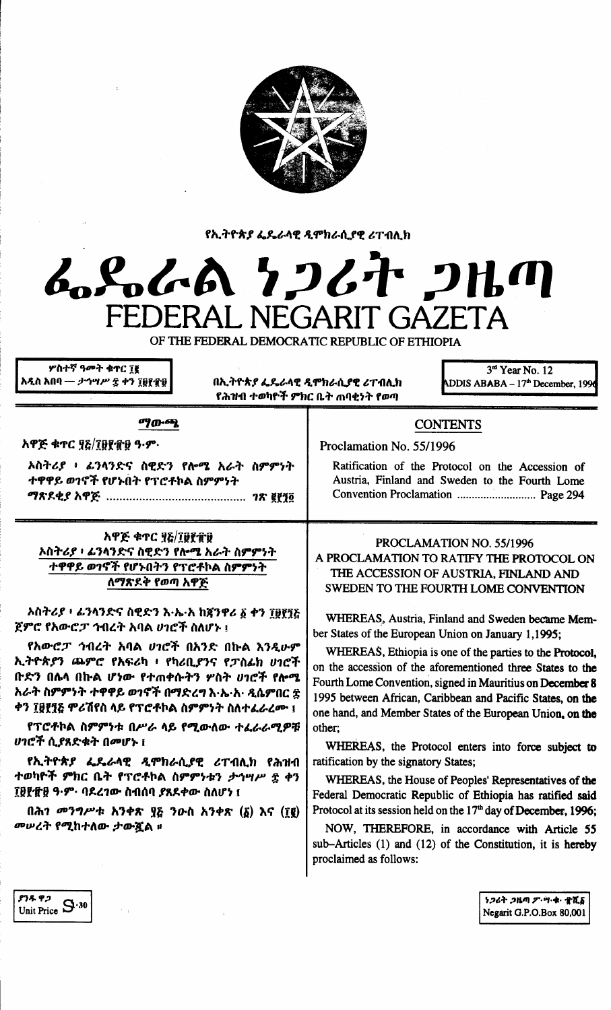

የኢትዮጵያ ፌዴራላዊ ዲሞክራሲያዊ ሪፐብሊክ

# んぺんへん クンムヤ コルの FEDERAL NEGARIT GAZETA

OF THE FEDERAL DEMOCRATIC REPUBLIC OF ETHIOPIA

ዎስተኛ ዓመት ቁተር ገጀ አዲስ አበባ — *ታኅሣሥ ቌ ቀን ፲*፱፻፹፱

በኢትዮጵያ ፌዴራላዊ ዲሞክራሲያዊ ሪፐብሊክ የሕዝብ ተወካዮች ምክር ቤት ጠባቂነት የወጣ

3rd Year No. 12 ADDIS ABABA - 17<sup>th</sup> December, 199

ማውጫ

አዋጅ ቁጥር ያ&/፲፱፻፹፱ ዓ·ም·

አስትሪያ ፥ ፊንላንድና ስዊድን የሎሜ አራት ስምምነት ተዋዋይ ወገኖች የሆኑበት የፕሮቶኮል ስምምነት 

አዋጅ ቁጥር ፶፩/፲፱፻፹፱ ኦስትሪያ ፥ ፊንላንድና ስዊድን የሎሜ አራት ስምምነት ተዋዋይ ወገኖች የሆኑበትን የፕሮቶኮል ስምምንት ለማጽደቅ የወጣ አዋጅ

ኦስትሪያ ፣ ፊንላንድና ስዊድን እ·ኤ·አ ከኛንዋሪ ፩ ቀን ፲፱፻፺፩ ጀምሮ የአውሮፓ ኅብረት አባል ሀገሮች ስለሆኑ ፤

የአውሮፓ ኅብረት አባል ሀገሮች በአንድ በኩል እንዲሁም ኢትዮጵያን ጨምሮ የአፍሪካ ፥ የካሪቢያንና የፓስፊክ ሀገሮች **ቡድን በሌላ በኩል ሆነው የተጠቀሱትን ሦስት ሀገሮች የሎሜ** አራት ስምምነት ተዋዋይ ወገኖች በማድረግ እ·ኤ·አ· ዲሴምበር ፰ ቀን ፲፱፻፺& ሞሪሽየስ ላይ የፕሮቶኮል ስምምነት ስለተፈራረሙ ፤

የፕሮቶኮል ስምምነቱ በሥራ ላይ የሚውለው ተፈራራሚዎቹ *ሀገሮች ሲያ*ጸድቁት በመሆኑ ፣

የኢትዮጵያ ፌዴራላዊ ዲሞክራሲያዊ ሪፐብሊክ የሕዝብ ተወካዮች ምክር ቤት የፕሮቶኮል ስምምነቱን ታኅሣሥ ፰ ቀን ፲፱፻፹፱ ዓ·ም· ባደረገው ስብሰባ ያጸደቀው ስለሆነ ፤

 $(λλη$  መንግሥቱ አንቀጽ ያይ ንዑስ አንቀጽ (δ) λና (τε) *መሠረት የሚ*ከተለው ታውጇል ፡፡

# **CONTENTS**

Proclamation No. 55/1996

Ratification of the Protocol on the Accession of Austria, Finland and Sweden to the Fourth Lome Convention Proclamation ............................... Page 294

PROCLAMATION NO. 55/1996 A PROCLAMATION TO RATIFY THE PROTOCOL ON THE ACCESSION OF AUSTRIA. FINLAND AND SWEDEN TO THE FOURTH LOME CONVENTION

WHEREAS, Austria, Finland and Sweden became Member States of the European Union on January 1,1995;

WHEREAS, Ethiopia is one of the parties to the Protocol, on the accession of the aforementioned three States to the Fourth Lome Convention, signed in Mauritius on December 8 1995 between African, Caribbean and Pacific States, on the one hand, and Member States of the European Union, on the other:

WHEREAS, the Protocol enters into force subject to ratification by the signatory States;

WHEREAS, the House of Peoples' Representatives of the Federal Democratic Republic of Ethiopia has ratified said Protocol at its session held on the 17<sup>th</sup> day of December, 1996;

NOW, THEREFORE, in accordance with Article 55 sub-Articles (1) and (12) of the Constitution, it is hereby proclaimed as follows:

ያንዱ ዋጋ Unit Price  $S^{0.30}$